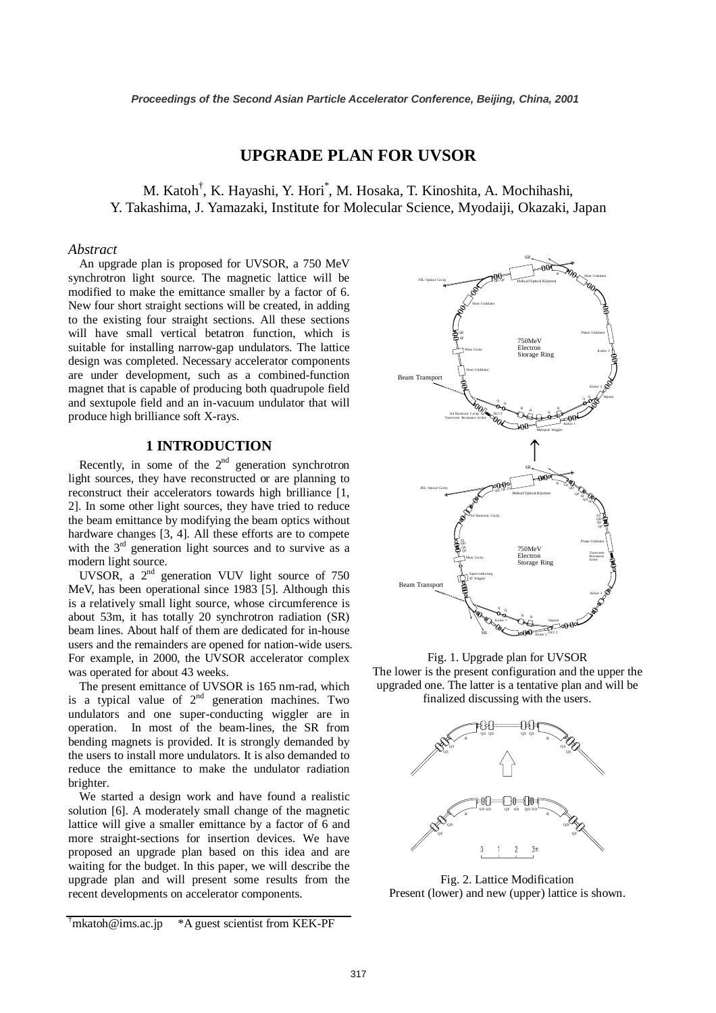# **UPGRADE PLAN FOR UVSOR**

M. Katoh<sup>†</sup>, K. Hayashi, Y. Hori<sup>\*</sup>, M. Hosaka, T. Kinoshita, A. Mochihashi, Y. Takashima, J. Yamazaki, Institute for Molecular Science, Myodaiji, Okazaki, Japan

### *Abstract*

An upgrade plan is proposed for UVSOR, a 750 MeV synchrotron light source. The magnetic lattice will be modified to make the emittance smaller by a factor of 6. New four short straight sections will be created, in adding to the existing four straight sections. All these sections will have small vertical betatron function, which is suitable for installing narrow-gap undulators. The lattice design was completed. Necessary accelerator components are under development, such as a combined-function magnet that is capable of producing both quadrupole field and sextupole field and an in-vacuum undulator that will produce high brilliance soft X-rays.

## **1 INTRODUCTION**

Recently, in some of the  $2<sup>nd</sup>$  generation synchrotron light sources, they have reconstructed or are planning to reconstruct their accelerators towards high brilliance [1, 2]. In some other light sources, they have tried to reduce the beam emittance by modifying the beam optics without hardware changes [3, 4]. All these efforts are to compete with the  $3<sup>rd</sup>$  generation light sources and to survive as a modern light source.

UVSOR, a 2<sup>nd</sup> generation VUV light source of 750 MeV, has been operational since 1983 [5]. Although this is a relatively small light source, whose circumference is about 53m, it has totally 20 synchrotron radiation (SR) beam lines. About half of them are dedicated for in-house users and the remainders are opened for nation-wide users. For example, in 2000, the UVSOR accelerator complex was operated for about 43 weeks.

The present emittance of UVSOR is 165 nm-rad, which is a typical value of  $2<sup>nd</sup>$  generation machines. Two undulators and one super-conducting wiggler are in operation. In most of the beam-lines, the SR from bending magnets is provided. It is strongly demanded by the users to install more undulators. It is also demanded to reduce the emittance to make the undulator radiation brighter.

We started a design work and have found a realistic solution [6]. A moderately small change of the magnetic lattice will give a smaller emittance by a factor of 6 and more straight-sections for insertion devices. We have proposed an upgrade plan based on this idea and are waiting for the budget. In this paper, we will describe the upgrade plan and will present some results from the recent developments on accelerator components.

 $\textsuperscript{+}$ mkatoh@ims.ac.jp \*A guest scientist from KEK-PF



Fig. 1. Upgrade plan for UVSOR The lower is the present configuration and the upper the upgraded one. The latter is a tentative plan and will be finalized discussing with the users.





Fig. 2. Lattice Modification Present (lower) and new (upper) lattice is shown.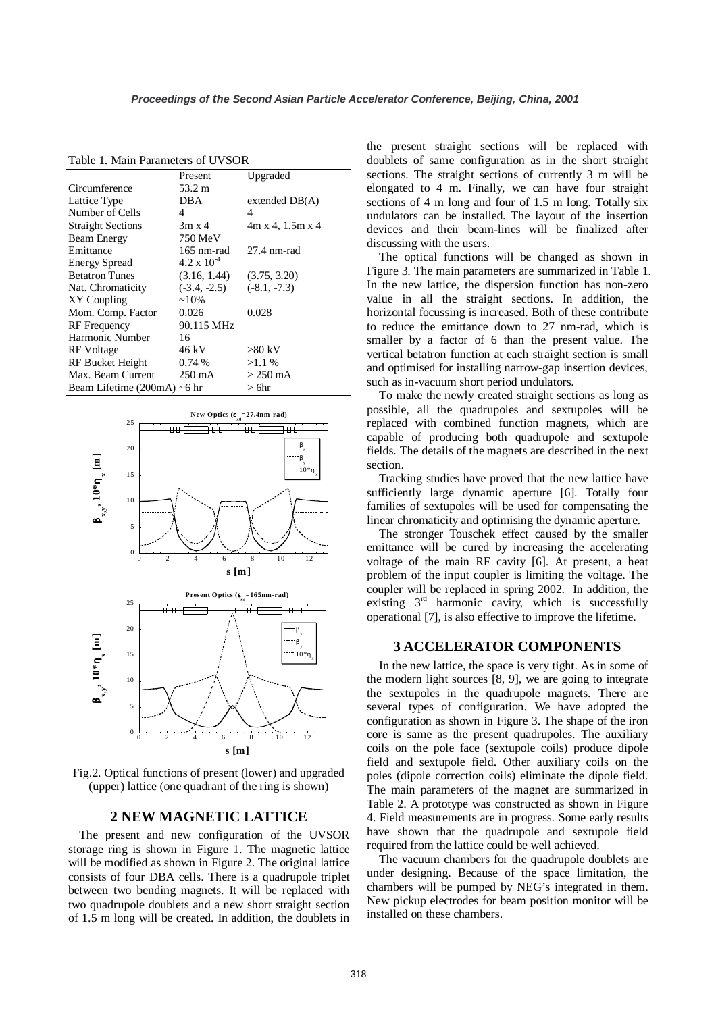|                                   | Present              | Upgraded                        |
|-----------------------------------|----------------------|---------------------------------|
| Circumference                     | 53.2 m               |                                 |
| Lattice Type                      | <b>DBA</b>           | extended $DB(A)$                |
| Number of Cells                   | 4                    | 4                               |
| <b>Straight Sections</b>          | $3m \times 4$        | $4m \times 4$ , 1.5m $\times 4$ |
| <b>Beam Energy</b>                | 750 MeV              |                                 |
| Emittance                         | 165 nm-rad           | 27.4 nm-rad                     |
| <b>Energy Spread</b>              | $4.2 \times 10^{-4}$ |                                 |
| <b>Betatron Tunes</b>             | (3.16, 1.44)         | (3.75, 3.20)                    |
| Nat. Chromaticity                 | $(-3.4, -2.5)$       | $(-8.1, -7.3)$                  |
| XY Coupling                       | $~10\%$              |                                 |
| Mom. Comp. Factor                 | 0.026                | 0.028                           |
| <b>RF</b> Frequency               | 90.115 MHz           |                                 |
| Harmonic Number                   | 16                   |                                 |
| RF Voltage                        | 46 kV                | $>80$ kV                        |
| RF Bucket Height                  | 0.74%                | $>1.1\%$                        |
| Max. Beam Current                 | $250 \text{ mA}$     | $>$ 250 mA                      |
| Beam Lifetime $(200mA) \sim 6 hr$ |                      | > 6hr                           |

Table 1. Main Parameters of UVSOR



Fig.2. Optical functions of present (lower) and upgraded (upper) lattice (one quadrant of the ring is shown)

#### **2 NEW MAGNETIC LATTICE**

The present and new configuration of the UVSOR storage ring is shown in Figure 1. The magnetic lattice will be modified as shown in Figure 2. The original lattice consists of four DBA cells. There is a quadrupole triplet between two bending magnets. It will be replaced with two quadrupole doublets and a new short straight section of 1.5 m long will be created. In addition, the doublets in

the present straight sections will be replaced with doublets of same configuration as in the short straight sections. The straight sections of currently 3 m will be elongated to 4 m. Finally, we can have four straight sections of 4 m long and four of 1.5 m long. Totally six undulators can be installed. The layout of the insertion devices and their beam-lines will be finalized after discussing with the users.

The optical functions will be changed as shown in Figure 3. The main parameters are summarized in Table 1. In the new lattice, the dispersion function has non-zero value in all the straight sections. In addition, the horizontal focussing is increased. Both of these contribute to reduce the emittance down to 27 nm-rad, which is smaller by a factor of 6 than the present value. The vertical betatron function at each straight section is small and optimised for installing narrow-gap insertion devices, such as in-vacuum short period undulators.

To make the newly created straight sections as long as possible, all the quadrupoles and sextupoles will be replaced with combined function magnets, which are capable of producing both quadrupole and sextupole fields. The details of the magnets are described in the next section.

Tracking studies have proved that the new lattice have sufficiently large dynamic aperture [6]. Totally four families of sextupoles will be used for compensating the linear chromaticity and optimising the dynamic aperture.

The stronger Touschek effect caused by the smaller emittance will be cured by increasing the accelerating voltage of the main RF cavity [6]. At present, a heat problem of the input coupler is limiting the voltage. The coupler will be replaced in spring 2002. In addition, the existing  $3<sup>rd</sup>$  harmonic cavity, which is successfully operational [7], is also effective to improve the lifetime.

#### **3 ACCELERATOR COMPONENTS**

In the new lattice, the space is very tight. As in some of the modern light sources [8, 9], we are going to integrate the sextupoles in the quadrupole magnets. There are several types of configuration. We have adopted the configuration as shown in Figure 3. The shape of the iron core is same as the present quadrupoles. The auxiliary coils on the pole face (sextupole coils) produce dipole field and sextupole field. Other auxiliary coils on the poles (dipole correction coils) eliminate the dipole field. The main parameters of the magnet are summarized in Table 2. A prototype was constructed as shown in Figure 4. Field measurements are in progress. Some early results have shown that the quadrupole and sextupole field required from the lattice could be well achieved.

The vacuum chambers for the quadrupole doublets are under designing. Because of the space limitation, the chambers will be pumped by NEG's integrated in them. New pickup electrodes for beam position monitor will be installed on these chambers.